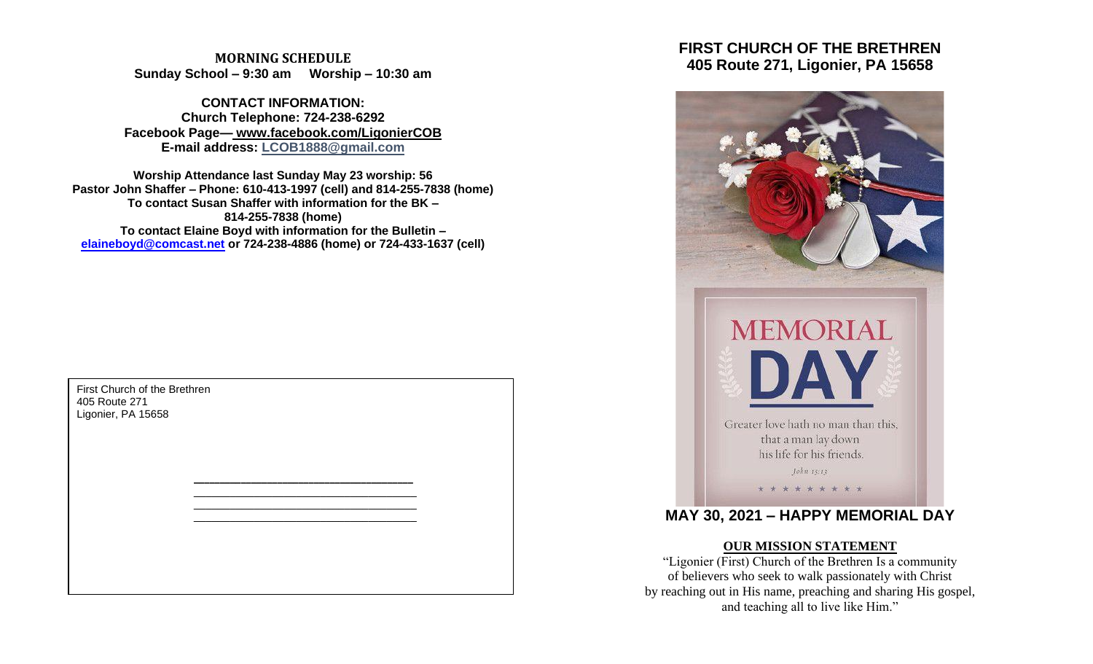**MORNING SCHEDULE Sunday School – 9:30 am Worship – 10:30 am**

**CONTACT INFORMATION: Church Telephone: 724-238-6292 Facebook Page— www.facebook.com/LigonierCOB E-mail address: LCOB1888@gmail.com**

**Worship Attendance last Sunday May 23 worship: 56 Pastor John Shaffer – Phone: 610-413-1997 (cell) and 814-255-7838 (home) To contact Susan Shaffer with information for the BK – 814-255-7838 (home) To contact Elaine Boyd with information for the Bulletin – [elaineboyd@comcast.net](mailto:elaineboyd@comcast.net) or 724-238-4886 (home) or 724-433-1637 (cell)**

> **\_\_\_\_\_\_\_\_\_\_\_\_\_\_\_\_\_\_\_\_\_\_\_\_\_\_\_\_\_\_\_\_\_\_\_\_\_\_\_\_\_\_** \_\_\_\_\_\_\_\_\_\_\_\_\_\_\_\_\_\_\_\_\_\_\_\_\_\_\_\_\_\_\_\_\_\_\_\_\_ \_\_\_\_\_\_\_\_\_\_\_\_\_\_\_\_\_\_\_\_\_\_\_\_\_\_\_\_\_\_\_\_\_\_\_\_\_ \_\_\_\_\_\_\_\_\_\_\_\_\_\_\_\_\_\_\_\_\_\_\_\_\_\_\_\_\_\_\_\_\_\_\_\_\_

First Church of the Brethren 405 Route 271 Ligonier, PA 15658

# **FIRST CHURCH OF THE BRETHREN 405 Route 271, Ligonier, PA 15658**



# **MAY 30, 2021 – HAPPY MEMORIAL DAY**

#### **OUR MISSION STATEMENT**

"Ligonier (First) Church of the Brethren Is a community of believers who seek to walk passionately with Christ by reaching out in His name, preaching and sharing His gospel, and teaching all to live like Him."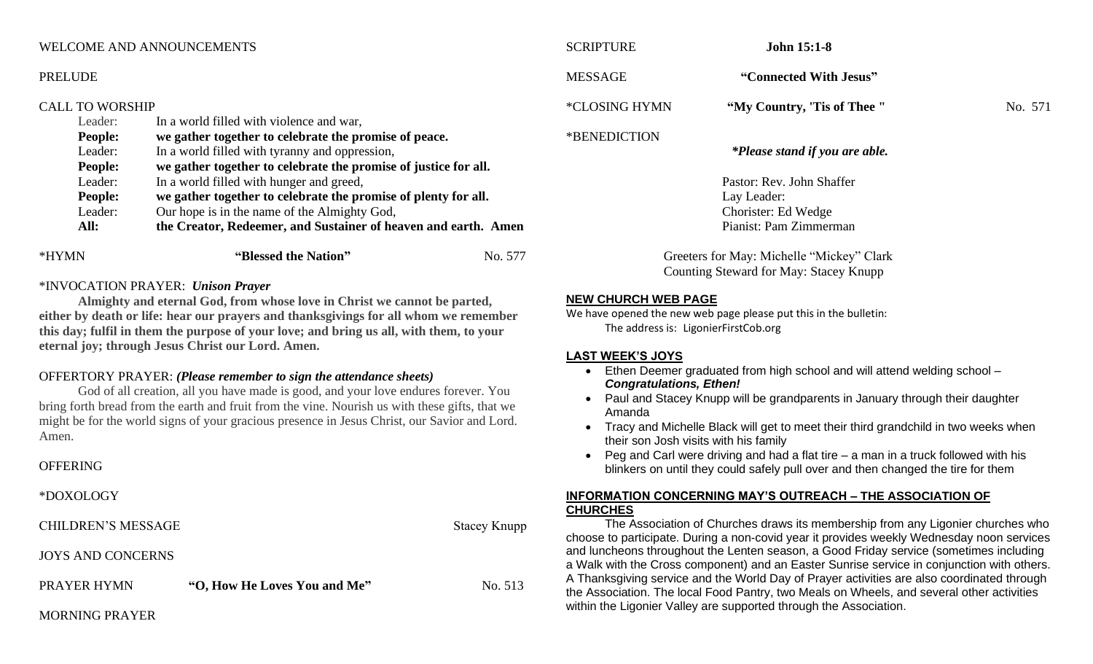| *HYMN                            | "Blessed the Nation"                           | No. 577                                                                                                            | G                                                                                                                                                                                                                                                            |
|----------------------------------|------------------------------------------------|--------------------------------------------------------------------------------------------------------------------|--------------------------------------------------------------------------------------------------------------------------------------------------------------------------------------------------------------------------------------------------------------|
| All:                             |                                                |                                                                                                                    |                                                                                                                                                                                                                                                              |
|                                  |                                                |                                                                                                                    |                                                                                                                                                                                                                                                              |
| People:                          |                                                |                                                                                                                    |                                                                                                                                                                                                                                                              |
| Leader:                          |                                                |                                                                                                                    |                                                                                                                                                                                                                                                              |
| <b>People:</b>                   |                                                |                                                                                                                    |                                                                                                                                                                                                                                                              |
| Leader:                          | In a world filled with tyranny and oppression, |                                                                                                                    |                                                                                                                                                                                                                                                              |
| <b>People:</b>                   |                                                |                                                                                                                    | *BENEDICTION                                                                                                                                                                                                                                                 |
| Leader:                          | In a world filled with violence and war,       |                                                                                                                    |                                                                                                                                                                                                                                                              |
|                                  |                                                |                                                                                                                    | *CLOSING HYMN                                                                                                                                                                                                                                                |
|                                  |                                                |                                                                                                                    | <b>MESSAGE</b>                                                                                                                                                                                                                                               |
|                                  |                                                |                                                                                                                    |                                                                                                                                                                                                                                                              |
| <b>WELCOME AND ANNOUNCEMENTS</b> |                                                |                                                                                                                    | <b>SCRIPTURE</b>                                                                                                                                                                                                                                             |
|                                  | <b>PRELUDE</b><br>Leader:                      | <b>CALL TO WORSHIP</b><br>In a world filled with hunger and greed,<br>Our hope is in the name of the Almighty God, | we gather together to celebrate the promise of peace.<br>we gather together to celebrate the promise of justice for all.<br>we gather together to celebrate the promise of plenty for all.<br>the Creator, Redeemer, and Sustainer of heaven and earth. Amen |

## \*INVOCATION PRAYER: *Unison Prayer*

**Almighty and eternal God, from whose love in Christ we cannot be parted, either by death or life: hear our prayers and thanksgivings for all whom we remember this day; fulfil in them the purpose of your love; and bring us all, with them, to your eternal joy; through Jesus Christ our Lord. Amen.**

### OFFERTORY PRAYER: *(Please remember to sign the attendance sheets)*

God of all creation, all you have made is good, and your love endures forever. You bring forth bread from the earth and fruit from the vine. Nourish us with these gifts, that we might be for the world signs of your gracious presence in Jesus Christ, our Savior and Lord. Amen.

### **OFFERING**

\*DOXOLOGY

CHILDREN'S MESSAGE Stacey Knupp

JOYS AND CONCERNS

| PRAYER HYMN | "O, How He Loves You and Me" | No. 513 |
|-------------|------------------------------|---------|

#### MORNING PRAYER

| <b>SCRIPTURE</b> | <b>John 15:1-8</b>                                                                        |         |
|------------------|-------------------------------------------------------------------------------------------|---------|
| <b>MESSAGE</b>   | "Connected With Jesus"                                                                    |         |
| *CLOSING HYMN    | "My Country, 'Tis of Thee"                                                                | No. 571 |
| *BENEDICTION     | *Please stand if you are able.                                                            |         |
|                  | Pastor: Rev. John Shaffer<br>Lay Leader:<br>Chorister: Ed Wedge<br>Pianist: Pam Zimmerman |         |
|                  |                                                                                           |         |

Freeters for May: Michelle "Mickey" Clark Counting Steward for May: Stacey Knupp

### **NEW CHURCH WEB PAGE**

We have opened the new web page please put this in the bulletin: The address is: LigonierFirstCob.org

#### **LAST WEEK'S JOYS**

- Ethen Deemer graduated from high school and will attend welding school *Congratulations, Ethen!*
- Paul and Stacey Knupp will be grandparents in January through their daughter Amanda
- Tracy and Michelle Black will get to meet their third grandchild in two weeks when their son Josh visits with his family
- Peg and Carl were driving and had a flat tire a man in a truck followed with his blinkers on until they could safely pull over and then changed the tire for them

#### **INFORMATION CONCERNING MAY'S OUTREACH – THE ASSOCIATION OF CHURCHES**

The Association of Churches draws its membership from any Ligonier churches who choose to participate. During a non-covid year it provides weekly Wednesday noon services and luncheons throughout the Lenten season, a Good Friday service (sometimes including a Walk with the Cross component) and an Easter Sunrise service in conjunction with others. A Thanksgiving service and the World Day of Prayer activities are also coordinated through the Association. The local Food Pantry, two Meals on Wheels, and several other activities within the Ligonier Valley are supported through the Association.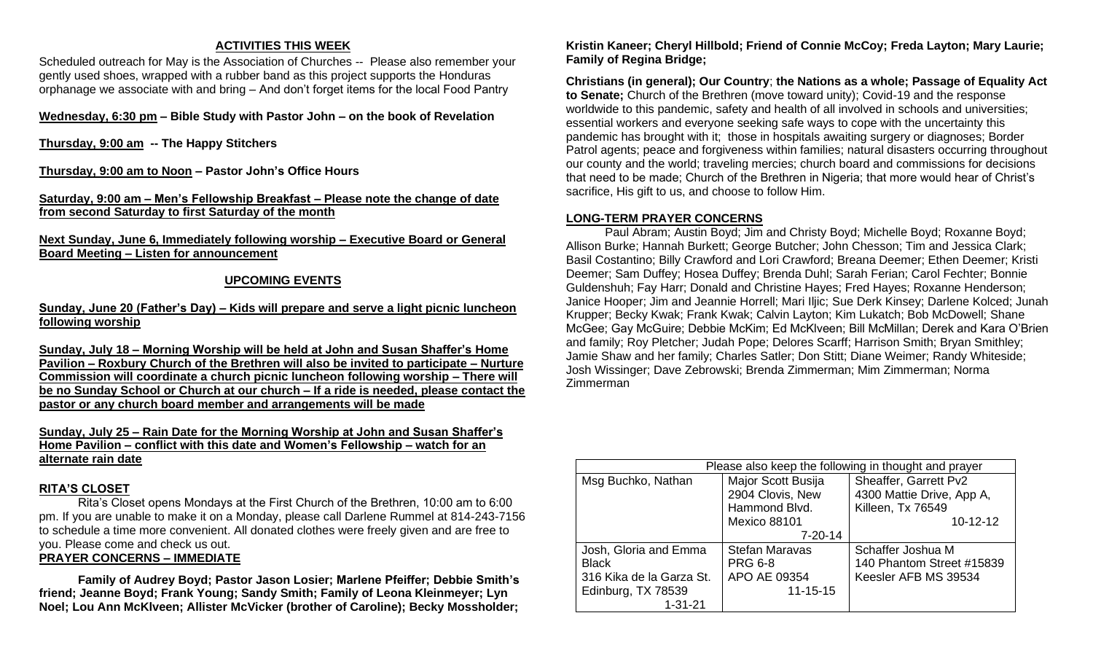#### **ACTIVITIES THIS WEEK**

Scheduled outreach for May is the Association of Churches -- Please also remember your gently used shoes, wrapped with a rubber band as this project supports the Honduras orphanage we associate with and bring – And don't forget items for the local Food Pantry

**Wednesday, 6:30 pm – Bible Study with Pastor John – on the book of Revelation**

**Thursday, 9:00 am -- The Happy Stitchers**

**Thursday, 9:00 am to Noon – Pastor John's Office Hours**

**Saturday, 9:00 am – Men's Fellowship Breakfast – Please note the change of date from second Saturday to first Saturday of the month**

**Next Sunday, June 6, Immediately following worship – Executive Board or General Board Meeting – Listen for announcement**

## **UPCOMING EVENTS**

#### **Sunday, June 20 (Father's Day) – Kids will prepare and serve a light picnic luncheon following worship**

**Sunday, July 18 – Morning Worship will be held at John and Susan Shaffer's Home Pavilion – Roxbury Church of the Brethren will also be invited to participate – Nurture Commission will coordinate a church picnic luncheon following worship – There will be no Sunday School or Church at our church – If a ride is needed, please contact the pastor or any church board member and arrangements will be made**

**Sunday, July 25 – Rain Date for the Morning Worship at John and Susan Shaffer's Home Pavilion – conflict with this date and Women's Fellowship – watch for an alternate rain date**

### **RITA'S CLOSET**

Rita's Closet opens Mondays at the First Church of the Brethren, 10:00 am to 6:00 pm. If you are unable to make it on a Monday, please call Darlene Rummel at 814-243-7156 to schedule a time more convenient. All donated clothes were freely given and are free to you. Please come and check us out.

## **PRAYER CONCERNS – IMMEDIATE**

**Family of Audrey Boyd; Pastor Jason Losier; Marlene Pfeiffer; Debbie Smith's friend; Jeanne Boyd; Frank Young; Sandy Smith; Family of Leona Kleinmeyer; Lyn Noel; Lou Ann McKlveen; Allister McVicker (brother of Caroline); Becky Mossholder;**  **Kristin Kaneer; Cheryl Hillbold; Friend of Connie McCoy; Freda Layton; Mary Laurie; Family of Regina Bridge;** 

**Christians (in general); Our Country**; **the Nations as a whole; Passage of Equality Act to Senate;** Church of the Brethren (move toward unity); Covid-19 and the response worldwide to this pandemic, safety and health of all involved in schools and universities; essential workers and everyone seeking safe ways to cope with the uncertainty this pandemic has brought with it; those in hospitals awaiting surgery or diagnoses; Border Patrol agents; peace and forgiveness within families; natural disasters occurring throughout our county and the world; traveling mercies; church board and commissions for decisions that need to be made; Church of the Brethren in Nigeria; that more would hear of Christ's sacrifice, His gift to us, and choose to follow Him.

## **LONG-TERM PRAYER CONCERNS**

Paul Abram; Austin Boyd; Jim and Christy Boyd; Michelle Boyd; Roxanne Boyd; Allison Burke; Hannah Burkett; George Butcher; John Chesson; Tim and Jessica Clark; Basil Costantino; Billy Crawford and Lori Crawford; Breana Deemer; Ethen Deemer; Kristi Deemer; Sam Duffey; Hosea Duffey; Brenda Duhl; Sarah Ferian; Carol Fechter; Bonnie Guldenshuh; Fay Harr; Donald and Christine Hayes; Fred Hayes; Roxanne Henderson; Janice Hooper; Jim and Jeannie Horrell; Mari Iljic; Sue Derk Kinsey; Darlene Kolced; Junah Krupper; Becky Kwak; Frank Kwak; Calvin Layton; Kim Lukatch; Bob McDowell; Shane McGee; Gay McGuire; Debbie McKim; Ed McKlveen; Bill McMillan; Derek and Kara O'Brien and family; Roy Pletcher; Judah Pope; Delores Scarff; Harrison Smith; Bryan Smithley; Jamie Shaw and her family; Charles Satler; Don Stitt; Diane Weimer; Randy Whiteside; Josh Wissinger; Dave Zebrowski; Brenda Zimmerman; Mim Zimmerman; Norma Zimmerman

| Please also keep the following in thought and prayer |                                                         |                                                                         |  |  |
|------------------------------------------------------|---------------------------------------------------------|-------------------------------------------------------------------------|--|--|
| Msg Buchko, Nathan                                   | Major Scott Busija<br>2904 Clovis, New<br>Hammond Blvd. | Sheaffer, Garrett Pv2<br>4300 Mattie Drive, App A,<br>Killeen, Tx 76549 |  |  |
|                                                      | <b>Mexico 88101</b>                                     | $10 - 12 - 12$                                                          |  |  |
|                                                      | $7 - 20 - 14$                                           |                                                                         |  |  |
| Josh, Gloria and Emma                                | <b>Stefan Maravas</b>                                   | Schaffer Joshua M                                                       |  |  |
| <b>Black</b>                                         | <b>PRG 6-8</b>                                          | 140 Phantom Street #15839                                               |  |  |
| 316 Kika de la Garza St.                             | APO AE 09354                                            | Keesler AFB MS 39534                                                    |  |  |
| Edinburg, TX 78539                                   | $11 - 15 - 15$                                          |                                                                         |  |  |
| $1 - 31 - 21$                                        |                                                         |                                                                         |  |  |